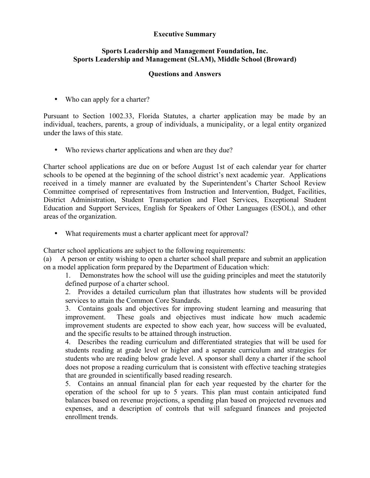## **Executive Summary**

## **Sports Leadership and Management Foundation, Inc. Sports Leadership and Management (SLAM), Middle School (Broward)**

## **Questions and Answers**

• Who can apply for a charter?

Pursuant to Section 1002.33, Florida Statutes, a charter application may be made by an individual, teachers, parents, a group of individuals, a municipality, or a legal entity organized under the laws of this state.

• Who reviews charter applications and when are they due?

Charter school applications are due on or before August 1st of each calendar year for charter schools to be opened at the beginning of the school district's next academic year. Applications received in a timely manner are evaluated by the Superintendent's Charter School Review Committee comprised of representatives from Instruction and Intervention, Budget, Facilities, District Administration, Student Transportation and Fleet Services, Exceptional Student Education and Support Services, English for Speakers of Other Languages (ESOL), and other areas of the organization.

• What requirements must a charter applicant meet for approval?

Charter school applications are subject to the following requirements:

(a) A person or entity wishing to open a charter school shall prepare and submit an application on a model application form prepared by the Department of Education which:

1. Demonstrates how the school will use the guiding principles and meet the statutorily defined purpose of a charter school.

2. Provides a detailed curriculum plan that illustrates how students will be provided services to attain the Common Core Standards.

3. Contains goals and objectives for improving student learning and measuring that improvement. These goals and objectives must indicate how much academic improvement students are expected to show each year, how success will be evaluated, and the specific results to be attained through instruction.

4. Describes the reading curriculum and differentiated strategies that will be used for students reading at grade level or higher and a separate curriculum and strategies for students who are reading below grade level. A sponsor shall deny a charter if the school does not propose a reading curriculum that is consistent with effective teaching strategies that are grounded in scientifically based reading research.

5. Contains an annual financial plan for each year requested by the charter for the operation of the school for up to 5 years. This plan must contain anticipated fund balances based on revenue projections, a spending plan based on projected revenues and expenses, and a description of controls that will safeguard finances and projected enrollment trends.